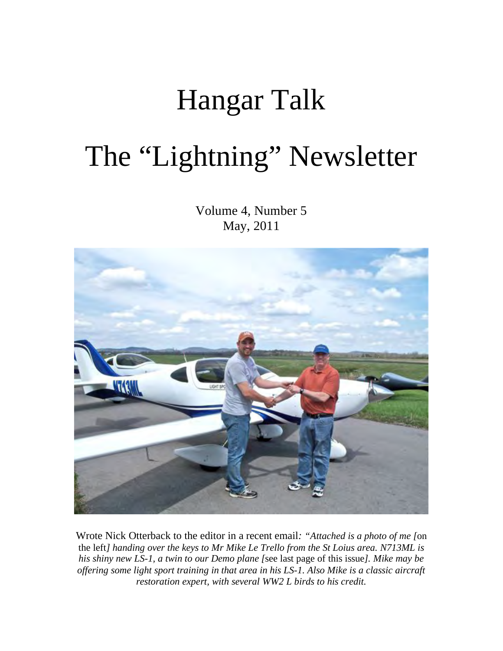# Hangar Talk The "Lightning" Newsletter

Volume 4, Number 5 May, 2011



Wrote Nick Otterback to the editor in a recent email*: "Attached is a photo of me [*on the left*] handing over the keys to Mr Mike Le Trello from the St Loius area. N713ML is his shiny new LS-1, a twin to our Demo plane [*see last page of this issue*]. Mike may be offering some light sport training in that area in his LS-1. Also Mike is a classic aircraft restoration expert, with several WW2 L birds to his credit.*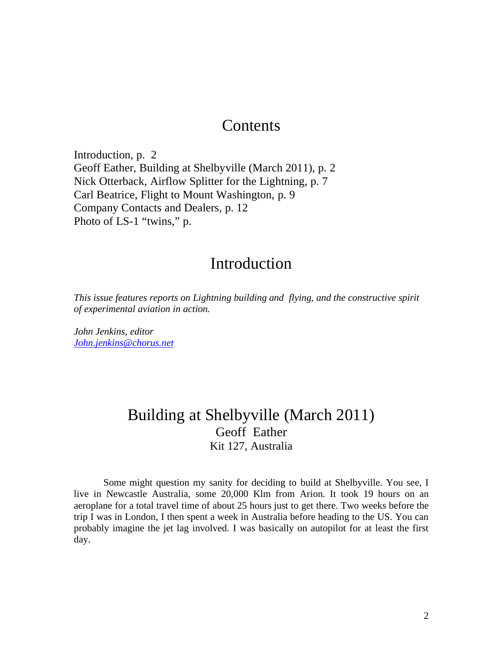# **Contents**

Introduction, p. 2 Geoff Eather, Building at Shelbyville (March 2011), p. 2 Nick Otterback, Airflow Splitter for the Lightning, p. 7 Carl Beatrice, Flight to Mount Washington, p. 9 Company Contacts and Dealers, p. 12 Photo of LS-1 "twins," p.

## Introduction

*This issue features reports on Lightning building and flying, and the constructive spirit of experimental aviation in action.* 

*John Jenkins, editor John.jenkins@chorus.net*

# Building at Shelbyville (March 2011) Geoff Eather Kit 127, Australia

Some might question my sanity for deciding to build at Shelbyville. You see, I live in Newcastle Australia, some 20,000 Klm from Arion. It took 19 hours on an aeroplane for a total travel time of about 25 hours just to get there. Two weeks before the trip I was in London, I then spent a week in Australia before heading to the US. You can probably imagine the jet lag involved. I was basically on autopilot for at least the first day.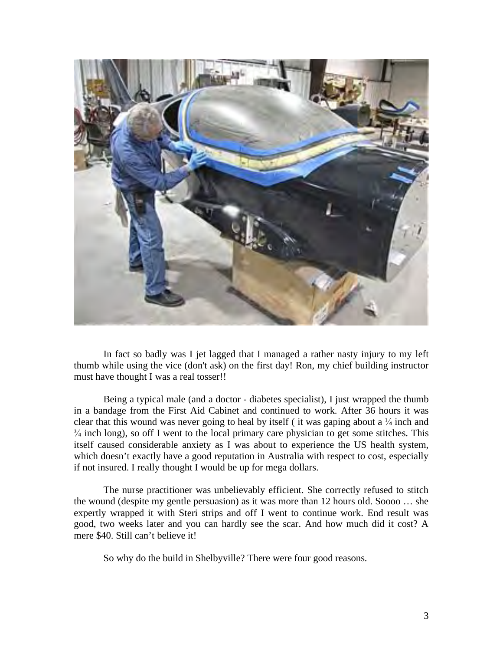

In fact so badly was I jet lagged that I managed a rather nasty injury to my left thumb while using the vice (don't ask) on the first day! Ron, my chief building instructor must have thought I was a real tosser!!

Being a typical male (and a doctor - diabetes specialist), I just wrapped the thumb in a bandage from the First Aid Cabinet and continued to work. After 36 hours it was clear that this wound was never going to heal by itself (it was gaping about a  $\frac{1}{4}$  inch and  $\frac{3}{4}$  inch long), so off I went to the local primary care physician to get some stitches. This itself caused considerable anxiety as I was about to experience the US health system, which doesn't exactly have a good reputation in Australia with respect to cost, especially if not insured. I really thought I would be up for mega dollars.

The nurse practitioner was unbelievably efficient. She correctly refused to stitch the wound (despite my gentle persuasion) as it was more than 12 hours old. Soooo … she expertly wrapped it with Steri strips and off I went to continue work. End result was good, two weeks later and you can hardly see the scar. And how much did it cost? A mere \$40. Still can't believe it!

So why do the build in Shelbyville? There were four good reasons.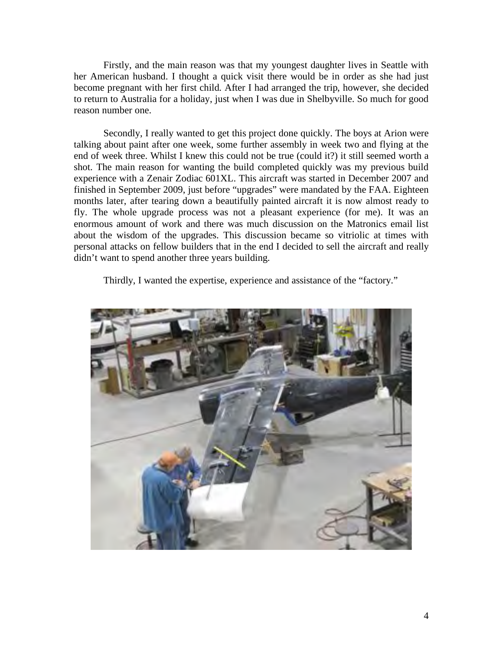Firstly, and the main reason was that my youngest daughter lives in Seattle with her American husband. I thought a quick visit there would be in order as she had just become pregnant with her first child. After I had arranged the trip, however, she decided to return to Australia for a holiday, just when I was due in Shelbyville. So much for good reason number one.

Secondly, I really wanted to get this project done quickly. The boys at Arion were talking about paint after one week, some further assembly in week two and flying at the end of week three. Whilst I knew this could not be true (could it?) it still seemed worth a shot. The main reason for wanting the build completed quickly was my previous build experience with a Zenair Zodiac 601XL. This aircraft was started in December 2007 and finished in September 2009, just before "upgrades" were mandated by the FAA. Eighteen months later, after tearing down a beautifully painted aircraft it is now almost ready to fly. The whole upgrade process was not a pleasant experience (for me). It was an enormous amount of work and there was much discussion on the Matronics email list about the wisdom of the upgrades. This discussion became so vitriolic at times with personal attacks on fellow builders that in the end I decided to sell the aircraft and really didn't want to spend another three years building.

Thirdly, I wanted the expertise, experience and assistance of the "factory."

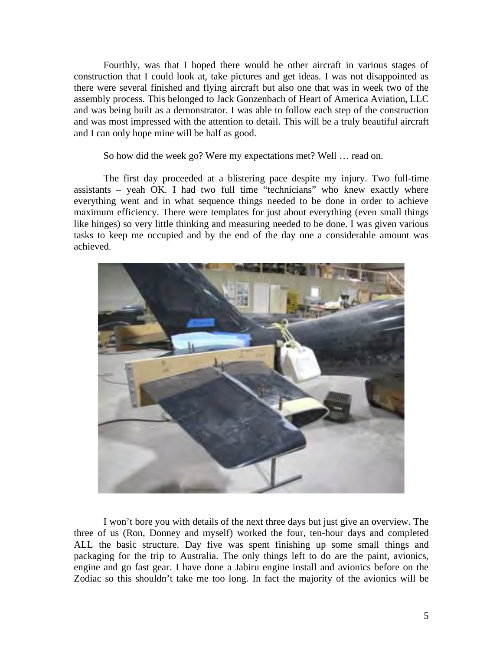Fourthly, was that I hoped there would be other aircraft in various stages of construction that I could look at, take pictures and get ideas. I was not disappointed as there were several finished and flying aircraft but also one that was in week two of the assembly process. This belonged to Jack Gonzenbach of Heart of America Aviation, LLC and was being built as a demonstrator. I was able to follow each step of the construction and was most impressed with the attention to detail. This will be a truly beautiful aircraft and I can only hope mine will be half as good.

So how did the week go? Were my expectations met? Well … read on.

The first day proceeded at a blistering pace despite my injury. Two full-time assistants – yeah OK. I had two full time "technicians" who knew exactly where everything went and in what sequence things needed to be done in order to achieve maximum efficiency. There were templates for just about everything (even small things like hinges) so very little thinking and measuring needed to be done. I was given various tasks to keep me occupied and by the end of the day one a considerable amount was achieved.



I won't bore you with details of the next three days but just give an overview. The three of us (Ron, Donney and myself) worked the four, ten-hour days and completed ALL the basic structure. Day five was spent finishing up some small things and packaging for the trip to Australia. The only things left to do are the paint, avionics, engine and go fast gear. I have done a Jabiru engine install and avionics before on the Zodiac so this shouldn't take me too long. In fact the majority of the avionics will be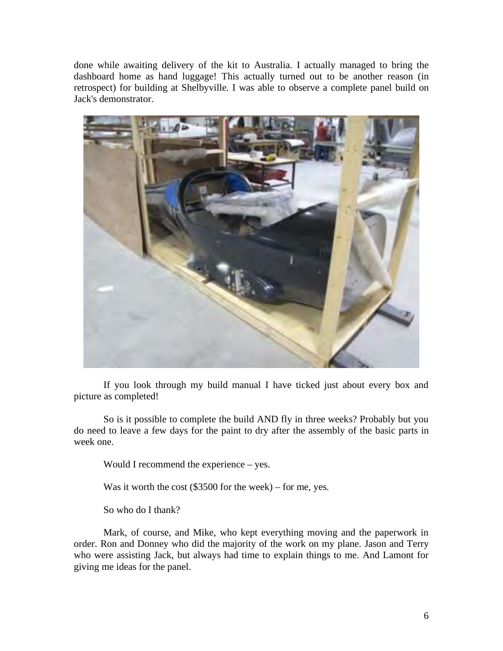done while awaiting delivery of the kit to Australia. I actually managed to bring the dashboard home as hand luggage! This actually turned out to be another reason (in retrospect) for building at Shelbyville. I was able to observe a complete panel build on Jack's demonstrator.



If you look through my build manual I have ticked just about every box and picture as completed!

So is it possible to complete the build AND fly in three weeks? Probably but you do need to leave a few days for the paint to dry after the assembly of the basic parts in week one.

Would I recommend the experience – yes.

Was it worth the cost (\$3500 for the week) – for me, yes.

So who do I thank?

Mark, of course, and Mike, who kept everything moving and the paperwork in order. Ron and Donney who did the majority of the work on my plane. Jason and Terry who were assisting Jack, but always had time to explain things to me. And Lamont for giving me ideas for the panel.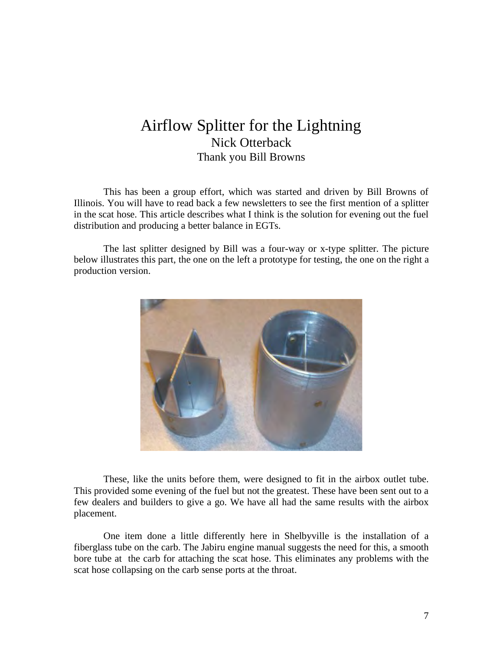## Airflow Splitter for the Lightning Nick Otterback Thank you Bill Browns

This has been a group effort, which was started and driven by Bill Browns of Illinois. You will have to read back a few newsletters to see the first mention of a splitter in the scat hose. This article describes what I think is the solution for evening out the fuel distribution and producing a better balance in EGTs.

The last splitter designed by Bill was a four-way or x-type splitter. The picture below illustrates this part, the one on the left a prototype for testing, the one on the right a production version.



These, like the units before them, were designed to fit in the airbox outlet tube. This provided some evening of the fuel but not the greatest. These have been sent out to a few dealers and builders to give a go. We have all had the same results with the airbox placement.

One item done a little differently here in Shelbyville is the installation of a fiberglass tube on the carb. The Jabiru engine manual suggests the need for this, a smooth bore tube at the carb for attaching the scat hose. This eliminates any problems with the scat hose collapsing on the carb sense ports at the throat.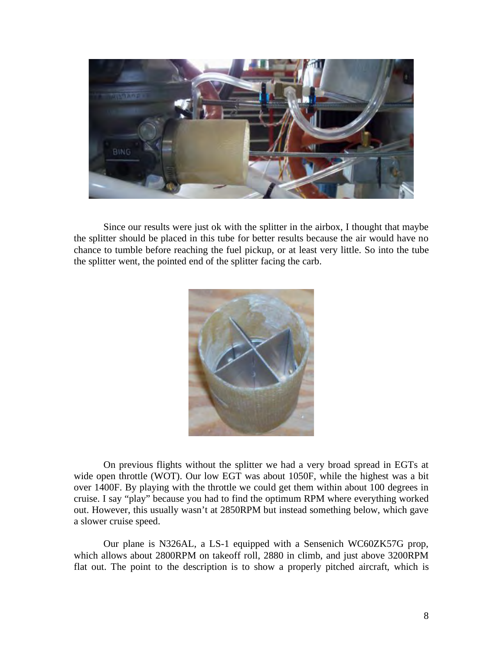

Since our results were just ok with the splitter in the airbox, I thought that maybe the splitter should be placed in this tube for better results because the air would have no chance to tumble before reaching the fuel pickup, or at least very little. So into the tube the splitter went, the pointed end of the splitter facing the carb.



On previous flights without the splitter we had a very broad spread in EGTs at wide open throttle (WOT). Our low EGT was about 1050F, while the highest was a bit over 1400F. By playing with the throttle we could get them within about 100 degrees in cruise. I say "play" because you had to find the optimum RPM where everything worked out. However, this usually wasn't at 2850RPM but instead something below, which gave a slower cruise speed.

Our plane is N326AL, a LS-1 equipped with a Sensenich WC60ZK57G prop, which allows about 2800RPM on takeoff roll, 2880 in climb, and just above 3200RPM flat out. The point to the description is to show a properly pitched aircraft, which is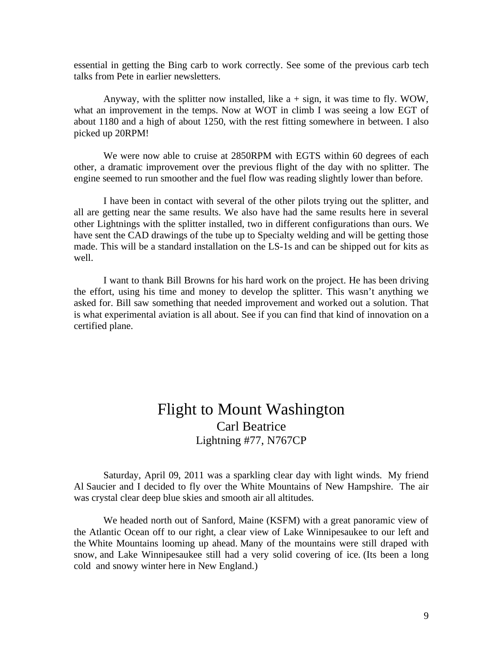essential in getting the Bing carb to work correctly. See some of the previous carb tech talks from Pete in earlier newsletters.

Anyway, with the splitter now installed, like  $a + sign$ , it was time to fly. WOW, what an improvement in the temps. Now at WOT in climb I was seeing a low EGT of about 1180 and a high of about 1250, with the rest fitting somewhere in between. I also picked up 20RPM!

We were now able to cruise at 2850RPM with EGTS within 60 degrees of each other, a dramatic improvement over the previous flight of the day with no splitter. The engine seemed to run smoother and the fuel flow was reading slightly lower than before.

I have been in contact with several of the other pilots trying out the splitter, and all are getting near the same results. We also have had the same results here in several other Lightnings with the splitter installed, two in different configurations than ours. We have sent the CAD drawings of the tube up to Specialty welding and will be getting those made. This will be a standard installation on the LS-1s and can be shipped out for kits as well.

I want to thank Bill Browns for his hard work on the project. He has been driving the effort, using his time and money to develop the splitter. This wasn't anything we asked for. Bill saw something that needed improvement and worked out a solution. That is what experimental aviation is all about. See if you can find that kind of innovation on a certified plane.

## Flight to Mount Washington Carl Beatrice Lightning #77, N767CP

Saturday, April 09, 2011 was a sparkling clear day with light winds. My friend Al Saucier and I decided to fly over the White Mountains of New Hampshire. The air was crystal clear deep blue skies and smooth air all altitudes.

We headed north out of Sanford, Maine (KSFM) with a great panoramic view of the Atlantic Ocean off to our right, a clear view of Lake Winnipesaukee to our left and the White Mountains looming up ahead. Many of the mountains were still draped with snow, and Lake Winnipesaukee still had a very solid covering of ice. (Its been a long cold and snowy winter here in New England.)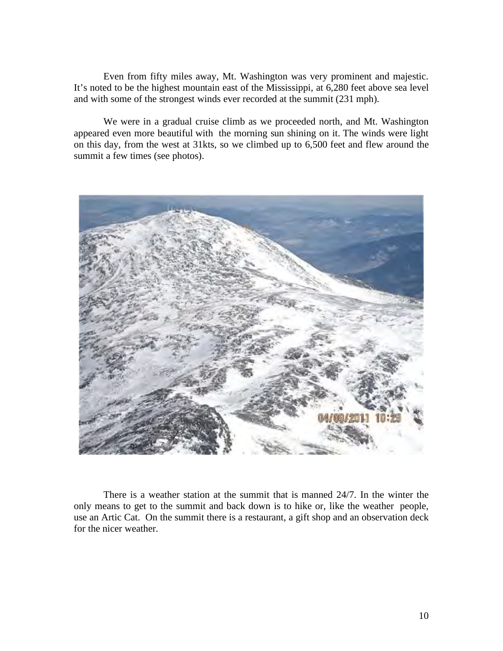Even from fifty miles away, Mt. Washington was very prominent and majestic. It's noted to be the highest mountain east of the Mississippi, at 6,280 feet above sea level and with some of the strongest winds ever recorded at the summit (231 mph).

We were in a gradual cruise climb as we proceeded north, and Mt. Washington appeared even more beautiful with the morning sun shining on it. The winds were light on this day, from the west at 31kts, so we climbed up to 6,500 feet and flew around the summit a few times (see photos).



There is a weather station at the summit that is manned 24/7. In the winter the only means to get to the summit and back down is to hike or, like the weather people, use an Artic Cat. On the summit there is a restaurant, a gift shop and an observation deck for the nicer weather.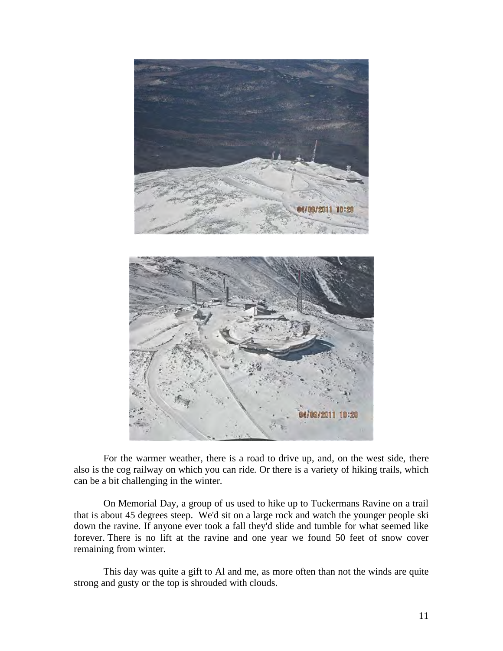

For the warmer weather, there is a road to drive up, and, on the west side, there also is the cog railway on which you can ride. Or there is a variety of hiking trails, which can be a bit challenging in the winter.

On Memorial Day, a group of us used to hike up to Tuckermans Ravine on a trail that is about 45 degrees steep. We'd sit on a large rock and watch the younger people ski down the ravine. If anyone ever took a fall they'd slide and tumble for what seemed like forever. There is no lift at the ravine and one year we found 50 feet of snow cover remaining from winter.

This day was quite a gift to Al and me, as more often than not the winds are quite strong and gusty or the top is shrouded with clouds.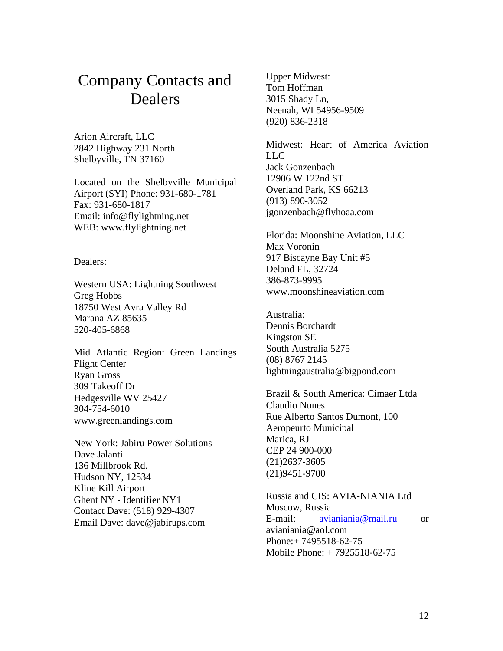# Company Contacts and Dealers

Arion Aircraft, LLC 2842 Highway 231 North Shelbyville, TN 37160

Located on the Shelbyville Municipal Airport (SYI) Phone: 931-680-1781 Fax: 931-680-1817 Email: info@flylightning.net WEB: www.flylightning.net

Dealers:

Western USA: Lightning Southwest Greg Hobbs 18750 West Avra Valley Rd Marana AZ 85635 520-405-6868

Mid Atlantic Region: Green Landings Flight Center Ryan Gross 309 Takeoff Dr Hedgesville WV 25427 304-754-6010 www.greenlandings.com

New York: Jabiru Power Solutions Dave Jalanti 136 Millbrook Rd. Hudson NY, 12534 Kline Kill Airport Ghent NY - Identifier NY1 Contact Dave: (518) 929-4307 Email Dave: dave@jabirups.com

Upper Midwest: Tom Hoffman 3015 Shady Ln, Neenah, WI 54956-9509 (920) 836-2318

Midwest: Heart of America Aviation LLC Jack Gonzenbach 12906 W 122nd ST Overland Park, KS 66213 (913) 890-3052 jgonzenbach@flyhoaa.com

Florida: Moonshine Aviation, LLC Max Voronin 917 Biscayne Bay Unit #5 Deland FL, 32724 386-873-9995 www.moonshineaviation.com

Australia: Dennis Borchardt Kingston SE South Australia 5275 (08) 8767 2145 lightningaustralia@bigpond.com

Brazil & South America: Cimaer Ltda Claudio Nunes Rue Alberto Santos Dumont, 100 Aeropeurto Municipal Marica, RJ CEP 24 900-000 (21)2637-3605 (21)9451-9700

Russia and CIS: AVIA-NIANIA Ltd Moscow, Russia E-mail: avianiania@mail.ru or avianiania@aol.com Phone:+ 7495518-62-75 Mobile Phone: + 7925518-62-75